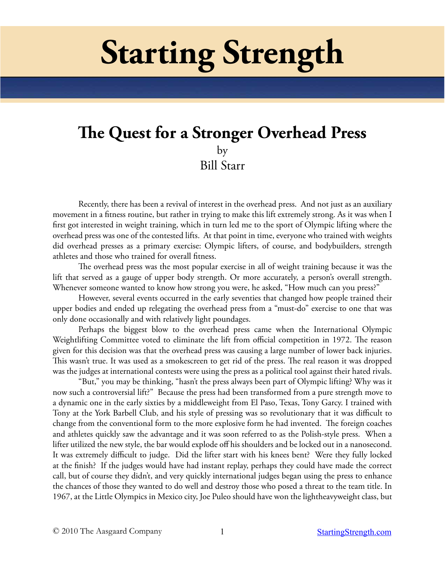# **Starting Strength**

# **The Quest for a Stronger Overhead Press** by Bill Starr

Recently, there has been a revival of interest in the overhead press. And not just as an auxiliary movement in a fitness routine, but rather in trying to make this lift extremely strong. As it was when I first got interested in weight training, which in turn led me to the sport of Olympic lifting where the overhead press was one of the contested lifts. At that point in time, everyone who trained with weights did overhead presses as a primary exercise: Olympic lifters, of course, and bodybuilders, strength athletes and those who trained for overall fitness.

The overhead press was the most popular exercise in all of weight training because it was the lift that served as a gauge of upper body strength. Or more accurately, a person's overall strength. Whenever someone wanted to know how strong you were, he asked, "How much can you press?"

However, several events occurred in the early seventies that changed how people trained their upper bodies and ended up relegating the overhead press from a "must-do" exercise to one that was only done occasionally and with relatively light poundages.

Perhaps the biggest blow to the overhead press came when the International Olympic Weightlifting Committee voted to eliminate the lift from official competition in 1972. The reason given for this decision was that the overhead press was causing a large number of lower back injuries. This wasn't true. It was used as a smokescreen to get rid of the press. The real reason it was dropped was the judges at international contests were using the press as a political tool against their hated rivals.

"But," you may be thinking, "hasn't the press always been part of Olympic lifting? Why was it now such a controversial lift?" Because the press had been transformed from a pure strength move to a dynamic one in the early sixties by a middleweight from El Paso, Texas, Tony Garcy. I trained with Tony at the York Barbell Club, and his style of pressing was so revolutionary that it was difficult to change from the conventional form to the more explosive form he had invented. The foreign coaches and athletes quickly saw the advantage and it was soon referred to as the Polish-style press. When a lifter utilized the new style, the bar would explode off his shoulders and be locked out in a nanosecond. It was extremely difficult to judge. Did the lifter start with his knees bent? Were they fully locked at the finish? If the judges would have had instant replay, perhaps they could have made the correct call, but of course they didn't, and very quickly international judges began using the press to enhance the chances of those they wanted to do well and destroy those who posed a threat to the team title. In 1967, at the Little Olympics in Mexico city, Joe Puleo should have won the lightheavyweight class, but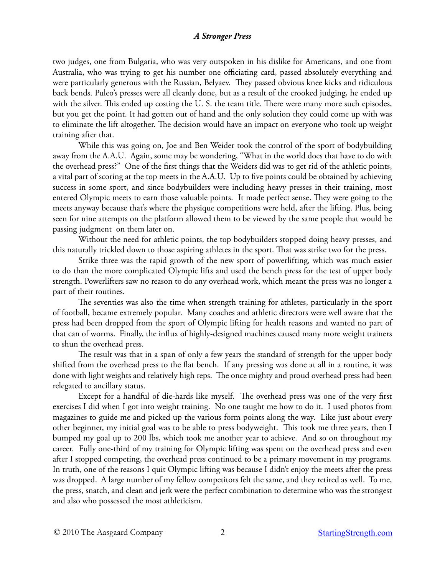two judges, one from Bulgaria, who was very outspoken in his dislike for Americans, and one from Australia, who was trying to get his number one officiating card, passed absolutely everything and were particularly generous with the Russian, Belyaev. They passed obvious knee kicks and ridiculous back bends. Puleo's presses were all cleanly done, but as a result of the crooked judging, he ended up with the silver. This ended up costing the U. S. the team title. There were many more such episodes, but you get the point. It had gotten out of hand and the only solution they could come up with was to eliminate the lift altogether. The decision would have an impact on everyone who took up weight training after that.

While this was going on, Joe and Ben Weider took the control of the sport of bodybuilding away from the A.A.U. Again, some may be wondering, "What in the world does that have to do with the overhead press?" One of the first things that the Weiders did was to get rid of the athletic points, a vital part of scoring at the top meets in the A.A.U. Up to five points could be obtained by achieving success in some sport, and since bodybuilders were including heavy presses in their training, most entered Olympic meets to earn those valuable points. It made perfect sense. They were going to the meets anyway because that's where the physique competitions were held, after the lifting. Plus, being seen for nine attempts on the platform allowed them to be viewed by the same people that would be passing judgment on them later on.

Without the need for athletic points, the top bodybuilders stopped doing heavy presses, and this naturally trickled down to those aspiring athletes in the sport. That was strike two for the press.

Strike three was the rapid growth of the new sport of powerlifting, which was much easier to do than the more complicated Olympic lifts and used the bench press for the test of upper body strength. Powerlifters saw no reason to do any overhead work, which meant the press was no longer a part of their routines.

The seventies was also the time when strength training for athletes, particularly in the sport of football, became extremely popular. Many coaches and athletic directors were well aware that the press had been dropped from the sport of Olympic lifting for health reasons and wanted no part of that can of worms. Finally, the influx of highly-designed machines caused many more weight trainers to shun the overhead press.

The result was that in a span of only a few years the standard of strength for the upper body shifted from the overhead press to the flat bench. If any pressing was done at all in a routine, it was done with light weights and relatively high reps. The once mighty and proud overhead press had been relegated to ancillary status.

Except for a handful of die-hards like myself. The overhead press was one of the very first exercises I did when I got into weight training. No one taught me how to do it. I used photos from magazines to guide me and picked up the various form points along the way. Like just about every other beginner, my initial goal was to be able to press bodyweight. This took me three years, then I bumped my goal up to 200 lbs, which took me another year to achieve. And so on throughout my career. Fully one-third of my training for Olympic lifting was spent on the overhead press and even after I stopped competing, the overhead press continued to be a primary movement in my programs. In truth, one of the reasons I quit Olympic lifting was because I didn't enjoy the meets after the press was dropped. A large number of my fellow competitors felt the same, and they retired as well. To me, the press, snatch, and clean and jerk were the perfect combination to determine who was the strongest and also who possessed the most athleticism.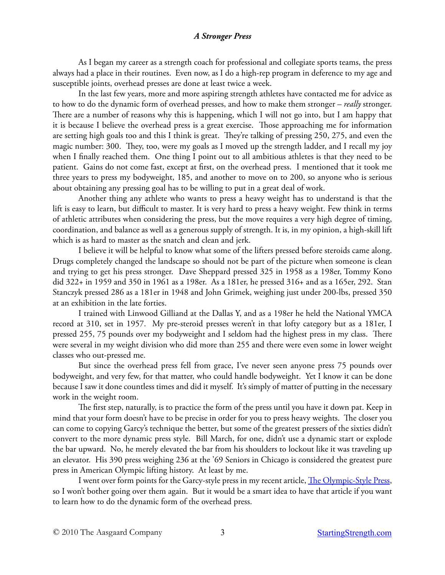As I began my career as a strength coach for professional and collegiate sports teams, the press always had a place in their routines. Even now, as I do a high-rep program in deference to my age and susceptible joints, overhead presses are done at least twice a week.

In the last few years, more and more aspiring strength athletes have contacted me for advice as to how to do the dynamic form of overhead presses, and how to make them stronger – *really* stronger. There are a number of reasons why this is happening, which I will not go into, but I am happy that it is because I believe the overhead press is a great exercise. Those approaching me for information are setting high goals too and this I think is great. They're talking of pressing 250, 275, and even the magic number: 300. They, too, were my goals as I moved up the strength ladder, and I recall my joy when I finally reached them. One thing I point out to all ambitious athletes is that they need to be patient. Gains do not come fast, except at first, on the overhead press. I mentioned that it took me three years to press my bodyweight, 185, and another to move on to 200, so anyone who is serious about obtaining any pressing goal has to be willing to put in a great deal of work.

Another thing any athlete who wants to press a heavy weight has to understand is that the lift is easy to learn, but difficult to master. It is very hard to press a heavy weight. Few think in terms of athletic attributes when considering the press, but the move requires a very high degree of timing, coordination, and balance as well as a generous supply of strength. It is, in my opinion, a high-skill lift which is as hard to master as the snatch and clean and jerk.

I believe it will be helpful to know what some of the lifters pressed before steroids came along. Drugs completely changed the landscape so should not be part of the picture when someone is clean and trying to get his press stronger. Dave Sheppard pressed 325 in 1958 as a 198er, Tommy Kono did 322+ in 1959 and 350 in 1961 as a 198er. As a 181er, he pressed 316+ and as a 165er, 292. Stan Stanczyk pressed 286 as a 181er in 1948 and John Grimek, weighing just under 200-lbs, pressed 350 at an exhibition in the late forties.

I trained with Linwood Gilliand at the Dallas Y, and as a 198er he held the National YMCA record at 310, set in 1957. My pre-steroid presses weren't in that lofty category but as a 181er, I pressed 255, 75 pounds over my bodyweight and I seldom had the highest press in my class. There were several in my weight division who did more than 255 and there were even some in lower weight classes who out-pressed me.

But since the overhead press fell from grace, I've never seen anyone press 75 pounds over bodyweight, and very few, for that matter, who could handle bodyweight. Yet I know it can be done because I saw it done countless times and did it myself. It's simply of matter of putting in the necessary work in the weight room.

The first step, naturally, is to practice the form of the press until you have it down pat. Keep in mind that your form doesn't have to be precise in order for you to press heavy weights. The closer you can come to copying Garcy's technique the better, but some of the greatest pressers of the sixties didn't convert to the more dynamic press style. Bill March, for one, didn't use a dynamic start or explode the bar upward. No, he merely elevated the bar from his shoulders to lockout like it was traveling up an elevator. His 390 press weighing 236 at the '69 Seniors in Chicago is considered the greatest pure press in American Olympic lifting history. At least by me.

I went over form points for the Garcy-style press in my recent article, [The Olympic-Style Press](http://startingstrength.com/articles/olympic_press_starr.pdf), so I won't bother going over them again. But it would be a smart idea to have that article if you want to learn how to do the dynamic form of the overhead press.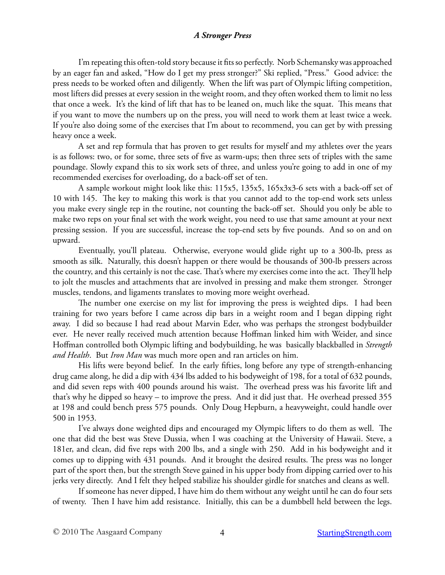I'm repeating this often-told story because it fits so perfectly. Norb Schemansky was approached by an eager fan and asked, "How do I get my press stronger?" Ski replied, "Press." Good advice: the press needs to be worked often and diligently. When the lift was part of Olympic lifting competition, most lifters did presses at every session in the weight room, and they often worked them to limit no less that once a week. It's the kind of lift that has to be leaned on, much like the squat. This means that if you want to move the numbers up on the press, you will need to work them at least twice a week. If you're also doing some of the exercises that I'm about to recommend, you can get by with pressing heavy once a week.

A set and rep formula that has proven to get results for myself and my athletes over the years is as follows: two, or for some, three sets of five as warm-ups; then three sets of triples with the same poundage. Slowly expand this to six work sets of three, and unless you're going to add in one of my recommended exercises for overloading, do a back-off set of ten.

A sample workout might look like this: 115x5, 135x5, 165x3x3-6 sets with a back-off set of 10 with 145. The key to making this work is that you cannot add to the top-end work sets unless you make every single rep in the routine, not counting the back-off set. Should you only be able to make two reps on your final set with the work weight, you need to use that same amount at your next pressing session. If you are successful, increase the top-end sets by five pounds. And so on and on upward.

Eventually, you'll plateau. Otherwise, everyone would glide right up to a 300-lb, press as smooth as silk. Naturally, this doesn't happen or there would be thousands of 300-lb pressers across the country, and this certainly is not the case. That's where my exercises come into the act. They'll help to jolt the muscles and attachments that are involved in pressing and make them stronger. Stronger muscles, tendons, and ligaments translates to moving more weight overhead.

The number one exercise on my list for improving the press is weighted dips. I had been training for two years before I came across dip bars in a weight room and I began dipping right away. I did so because I had read about Marvin Eder, who was perhaps the strongest bodybuilder ever. He never really received much attention because Hoffman linked him with Weider, and since Hoffman controlled both Olympic lifting and bodybuilding, he was basically blackballed in *Strength and Health*. But *Iron Man* was much more open and ran articles on him.

His lifts were beyond belief. In the early fifties, long before any type of strength-enhancing drug came along, he did a dip with 434 lbs added to his bodyweight of 198, for a total of 632 pounds, and did seven reps with 400 pounds around his waist. The overhead press was his favorite lift and that's why he dipped so heavy – to improve the press. And it did just that. He overhead pressed 355 at 198 and could bench press 575 pounds. Only Doug Hepburn, a heavyweight, could handle over 500 in 1953.

I've always done weighted dips and encouraged my Olympic lifters to do them as well. The one that did the best was Steve Dussia, when I was coaching at the University of Hawaii. Steve, a 181er, and clean, did five reps with 200 lbs, and a single with 250. Add in his bodyweight and it comes up to dipping with 431 pounds. And it brought the desired results. The press was no longer part of the sport then, but the strength Steve gained in his upper body from dipping carried over to his jerks very directly. And I felt they helped stabilize his shoulder girdle for snatches and cleans as well.

If someone has never dipped, I have him do them without any weight until he can do four sets of twenty. Then I have him add resistance. Initially, this can be a dumbbell held between the legs.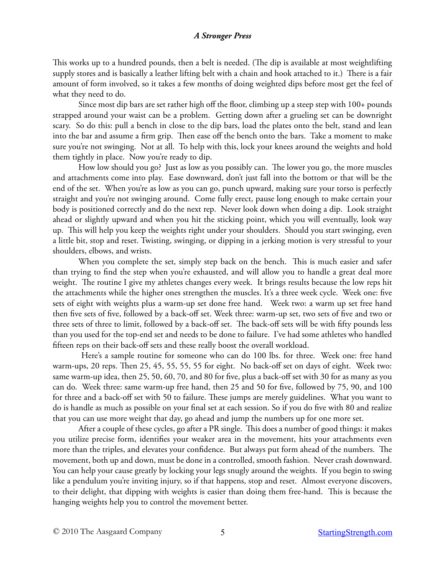This works up to a hundred pounds, then a belt is needed. (The dip is available at most weightlifting supply stores and is basically a leather lifting belt with a chain and hook attached to it.) There is a fair amount of form involved, so it takes a few months of doing weighted dips before most get the feel of what they need to do.

Since most dip bars are set rather high off the floor, climbing up a steep step with 100+ pounds strapped around your waist can be a problem. Getting down after a grueling set can be downright scary. So do this: pull a bench in close to the dip bars, load the plates onto the belt, stand and lean into the bar and assume a firm grip. Then ease off the bench onto the bars. Take a moment to make sure you're not swinging. Not at all. To help with this, lock your knees around the weights and hold them tightly in place. Now you're ready to dip.

How low should you go? Just as low as you possibly can. The lower you go, the more muscles and attachments come into play. Ease downward, don't just fall into the bottom or that will be the end of the set. When you're as low as you can go, punch upward, making sure your torso is perfectly straight and you're not swinging around. Come fully erect, pause long enough to make certain your body is positioned correctly and do the next rep. Never look down when doing a dip. Look straight ahead or slightly upward and when you hit the sticking point, which you will eventually, look way up. This will help you keep the weights right under your shoulders. Should you start swinging, even a little bit, stop and reset. Twisting, swinging, or dipping in a jerking motion is very stressful to your shoulders, elbows, and wrists.

When you complete the set, simply step back on the bench. This is much easier and safer than trying to find the step when you're exhausted, and will allow you to handle a great deal more weight. The routine I give my athletes changes every week. It brings results because the low reps hit the attachments while the higher ones strengthen the muscles. It's a three week cycle. Week one: five sets of eight with weights plus a warm-up set done free hand. Week two: a warm up set free hand then five sets of five, followed by a back-off set. Week three: warm-up set, two sets of five and two or three sets of three to limit, followed by a back-off set. The back-off sets will be with fifty pounds less than you used for the top-end set and needs to be done to failure. I've had some athletes who handled fifteen reps on their back-off sets and these really boost the overall workload.

 Here's a sample routine for someone who can do 100 lbs. for three. Week one: free hand warm-ups, 20 reps. Then 25, 45, 55, 55, 55 for eight. No back-off set on days of eight. Week two: same warm-up idea, then 25, 50, 60, 70, and 80 for five, plus a back-off set with 30 for as many as you can do. Week three: same warm-up free hand, then 25 and 50 for five, followed by 75, 90, and 100 for three and a back-off set with 50 to failure. These jumps are merely guidelines. What you want to do is handle as much as possible on your final set at each session. So if you do five with 80 and realize that you can use more weight that day, go ahead and jump the numbers up for one more set.

After a couple of these cycles, go after a PR single. This does a number of good things: it makes you utilize precise form, identifies your weaker area in the movement, hits your attachments even more than the triples, and elevates your confidence. But always put form ahead of the numbers. The movement, both up and down, must be done in a controlled, smooth fashion. Never crash downward. You can help your cause greatly by locking your legs snugly around the weights. If you begin to swing like a pendulum you're inviting injury, so if that happens, stop and reset. Almost everyone discovers, to their delight, that dipping with weights is easier than doing them free-hand. This is because the hanging weights help you to control the movement better.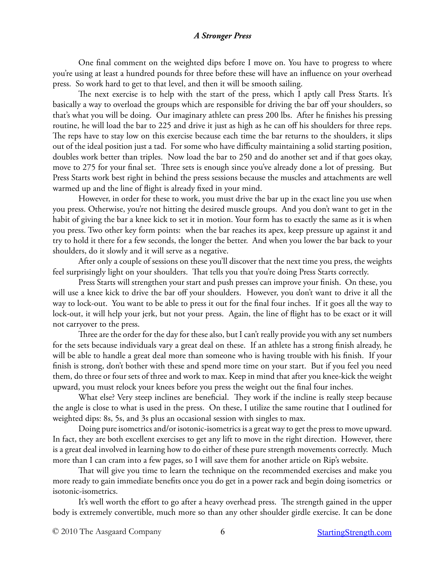One final comment on the weighted dips before I move on. You have to progress to where you're using at least a hundred pounds for three before these will have an influence on your overhead press. So work hard to get to that level, and then it will be smooth sailing.

The next exercise is to help with the start of the press, which I aptly call Press Starts. It's basically a way to overload the groups which are responsible for driving the bar off your shoulders, so that's what you will be doing. Our imaginary athlete can press 200 lbs. After he finishes his pressing routine, he will load the bar to 225 and drive it just as high as he can off his shoulders for three reps. The reps have to stay low on this exercise because each time the bar returns to the shoulders, it slips out of the ideal position just a tad. For some who have difficulty maintaining a solid starting position, doubles work better than triples. Now load the bar to 250 and do another set and if that goes okay, move to 275 for your final set. Three sets is enough since you've already done a lot of pressing. But Press Starts work best right in behind the press sessions because the muscles and attachments are well warmed up and the line of flight is already fixed in your mind.

However, in order for these to work, you must drive the bar up in the exact line you use when you press. Otherwise, you're not hitting the desired muscle groups. And you don't want to get in the habit of giving the bar a knee kick to set it in motion. Your form has to exactly the same as it is when you press. Two other key form points: when the bar reaches its apex, keep pressure up against it and try to hold it there for a few seconds, the longer the better. And when you lower the bar back to your shoulders, do it slowly and it will serve as a negative.

After only a couple of sessions on these you'll discover that the next time you press, the weights feel surprisingly light on your shoulders. That tells you that you're doing Press Starts correctly.

Press Starts will strengthen your start and push presses can improve your finish. On these, you will use a knee kick to drive the bar off your shoulders. However, you don't want to drive it all the way to lock-out. You want to be able to press it out for the final four inches. If it goes all the way to lock-out, it will help your jerk, but not your press. Again, the line of flight has to be exact or it will not carryover to the press.

Three are the order for the day for these also, but I can't really provide you with any set numbers for the sets because individuals vary a great deal on these. If an athlete has a strong finish already, he will be able to handle a great deal more than someone who is having trouble with his finish. If your finish is strong, don't bother with these and spend more time on your start. But if you feel you need them, do three or four sets of three and work to max. Keep in mind that after you knee-kick the weight upward, you must relock your knees before you press the weight out the final four inches.

What else? Very steep inclines are beneficial. They work if the incline is really steep because the angle is close to what is used in the press. On these, I utilize the same routine that I outlined for weighted dips: 8s, 5s, and 3s plus an occasional session with singles to max.

Doing pure isometrics and/or isotonic-isometrics is a great way to get the press to move upward. In fact, they are both excellent exercises to get any lift to move in the right direction. However, there is a great deal involved in learning how to do either of these pure strength movements correctly. Much more than I can cram into a few pages, so I will save them for another article on Rip's website.

That will give you time to learn the technique on the recommended exercises and make you more ready to gain immediate benefits once you do get in a power rack and begin doing isometrics or isotonic-isometrics.

It's well worth the effort to go after a heavy overhead press. The strength gained in the upper body is extremely convertible, much more so than any other shoulder girdle exercise. It can be done

© 2010 The Aasgaard Company 6 6 [StartingStrength.com](http://StartingStrength.com)